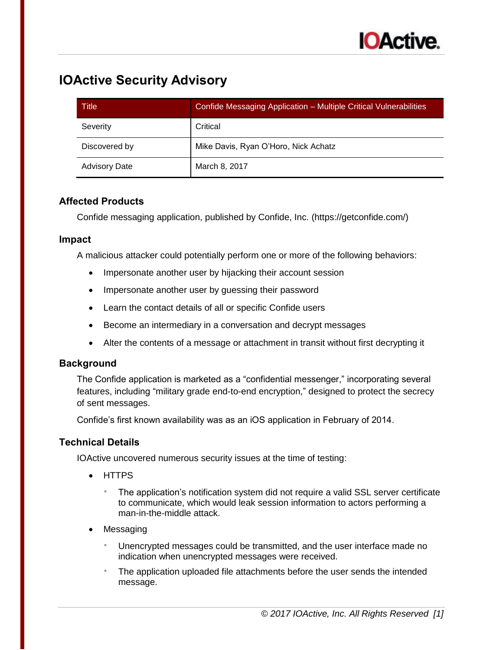# **IOActive Security Advisory**

| Title                | Confide Messaging Application - Multiple Critical Vulnerabilities |
|----------------------|-------------------------------------------------------------------|
| Severity             | Critical                                                          |
| Discovered by        | Mike Davis, Ryan O'Horo, Nick Achatz                              |
| <b>Advisory Date</b> | March 8, 2017                                                     |

## **Affected Products**

Confide messaging application, published by Confide, Inc. (https://getconfide.com/)

#### **Impact**

A malicious attacker could potentially perform one or more of the following behaviors:

- Impersonate another user by hijacking their account session
- Impersonate another user by quessing their password
- Learn the contact details of all or specific Confide users
- Become an intermediary in a conversation and decrypt messages
- Alter the contents of a message or attachment in transit without first decrypting it

## **Background**

The Confide application is marketed as a "confidential messenger," incorporating several features, including "military grade end-to-end encryption," designed to protect the secrecy of sent messages.

Confide's first known availability was as an iOS application in February of 2014.

## **Technical Details**

IOActive uncovered numerous security issues at the time of testing:

- HTTPS
	- The application's notification system did not require a valid SSL server certificate to communicate, which would leak session information to actors performing a man-in-the-middle attack.
- Messaging
	- Unencrypted messages could be transmitted, and the user interface made no indication when unencrypted messages were received.
	- The application uploaded file attachments before the user sends the intended message.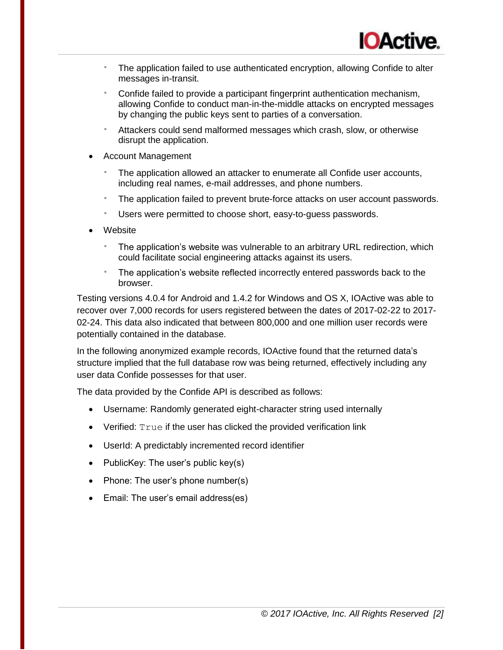- The application failed to use authenticated encryption, allowing Confide to alter messages in-transit.
- Confide failed to provide a participant fingerprint authentication mechanism, allowing Confide to conduct man-in-the-middle attacks on encrypted messages by changing the public keys sent to parties of a conversation.
- ° Attackers could send malformed messages which crash, slow, or otherwise disrupt the application.
- Account Management
	- The application allowed an attacker to enumerate all Confide user accounts, including real names, e-mail addresses, and phone numbers.
	- The application failed to prevent brute-force attacks on user account passwords.
	- ° Users were permitted to choose short, easy-to-guess passwords.
- Website
	- ° The application's website was vulnerable to an arbitrary URL redirection, which could facilitate social engineering attacks against its users.
	- ° The application's website reflected incorrectly entered passwords back to the browser.

Testing versions 4.0.4 for Android and 1.4.2 for Windows and OS X, IOActive was able to recover over 7,000 records for users registered between the dates of 2017-02-22 to 2017- 02-24. This data also indicated that between 800,000 and one million user records were potentially contained in the database.

In the following anonymized example records, IOActive found that the returned data's structure implied that the full database row was being returned, effectively including any user data Confide possesses for that user.

The data provided by the Confide API is described as follows:

- Username: Randomly generated eight-character string used internally
- $\bullet$  Verified:  $True$  if the user has clicked the provided verification link
- UserId: A predictably incremented record identifier
- PublicKey: The user's public key(s)
- Phone: The user's phone number(s)
- Email: The user's email address(es)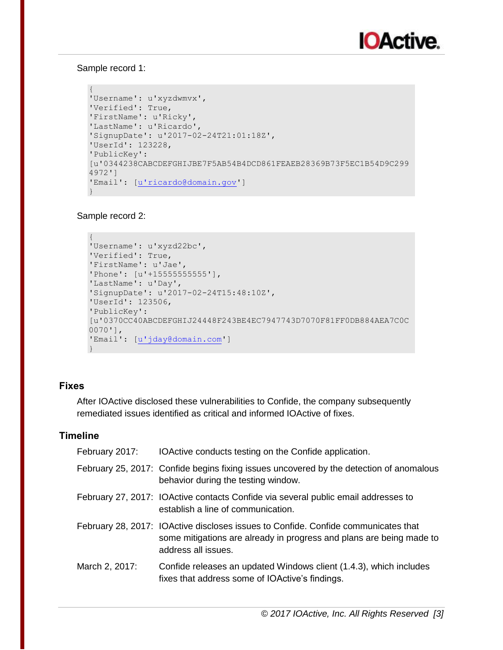#### Sample record 1:

```
{
'Username': u'xyzdwmvx',
'Verified': True,
'FirstName': u'Ricky',
'LastName': u'Ricardo',
'SignupDate': u'2017-02-24T21:01:18Z',
'UserId': 123228,
'PublicKey': 
[u'0344238CABCDEFGHIJBE7F5AB54B4DCD861FEAEB28369B73F5EC1B54D9C299
4972']
'Email': [u'ricardo@domain.gov']
}
```
#### Sample record 2:

```
{
'Username': u'xyzd22bc',
'Verified': True,
'FirstName': u'Jae',
'Phone': [u'+15555555555'],
'LastName': u'Day',
'SignupDate': u'2017-02-24T15:48:10Z',
'UserId': 123506,
'PublicKey': 
[u'0370CC40ABCDEFGHIJ24448F243BE4EC7947743D7070F81FF0DB884AEA7C0C
0070'],
'Email': [u'jday@domain.com']
}
```
## **Fixes**

After IOActive disclosed these vulnerabilities to Confide, the company subsequently remediated issues identified as critical and informed IOActive of fixes.

#### **Timeline**

| February 2017: | IOActive conducts testing on the Confide application.                                                                                                                             |
|----------------|-----------------------------------------------------------------------------------------------------------------------------------------------------------------------------------|
|                | February 25, 2017: Confide begins fixing issues uncovered by the detection of anomalous<br>behavior during the testing window.                                                    |
|                | February 27, 2017: IOActive contacts Confide via several public email addresses to<br>establish a line of communication.                                                          |
|                | February 28, 2017: IOActive discloses issues to Confide. Confide communicates that<br>some mitigations are already in progress and plans are being made to<br>address all issues. |
| March 2, 2017: | Confide releases an updated Windows client (1.4.3), which includes<br>fixes that address some of IOActive's findings.                                                             |